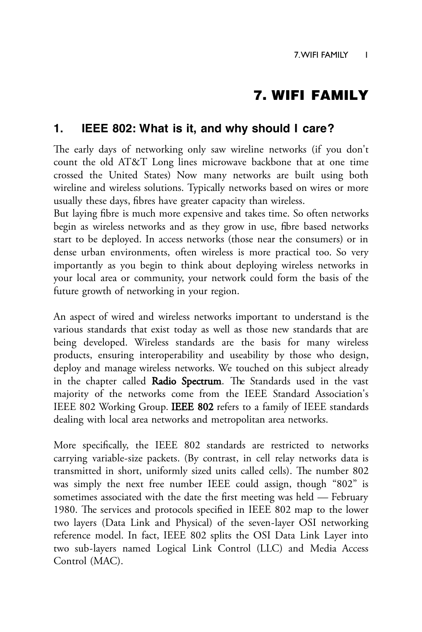# 7. WIFI FAMILY

# **1. IEEE 802: What is it, and why should I care?**

The early days of networking only saw wireline networks (if you don't count the old AT&T Long lines microwave backbone that at one time crossed the United States) Now many networks are built using both wireline and wireless solutions. Typically networks based on wires or more usually these days, fibres have greater capacity than wireless.

But laying fibre is much more expensive and takes time. So often networks begin as wireless networks and as they grow in use, fibre based networks start to be deployed. In access networks (those near the consumers) or in dense urban environments, often wireless is more practical too. So very importantly as you begin to think about deploying wireless networks in your local area or community, your network could form the basis of the future growth of networking in your region.

An aspect of wired and wireless networks important to understand is the various standards that exist today as well as those new standards that are being developed. Wireless standards are the basis for many wireless products, ensuring interoperability and useability by those who design, deploy and manage wireless networks. We touched on this subject already in the chapter called Radio Spectrum. The Standards used in the vast majority of the networks come from the IEEE Standard Association's IEEE 802 Working Group. IEEE 802 refers to a family of IEEE standards dealing with local area networks and metropolitan area networks.

More specifically, the IEEE 802 standards are restricted to networks carrying variable-size packets. (By contrast, in cell relay networks data is transmitted in short, uniformly sized units called cells). The number 802 was simply the next free number IEEE could assign, though "802" is sometimes associated with the date the first meeting was held - February 1980. The services and protocols specified in IEEE 802 map to the lower two layers (Data Link and Physical) of the seven-layer OSI networking reference model. In fact, IEEE 802 splits the OSI Data Link Layer into two sub-layers named Logical Link Control (LLC) and Media Access Control (MAC).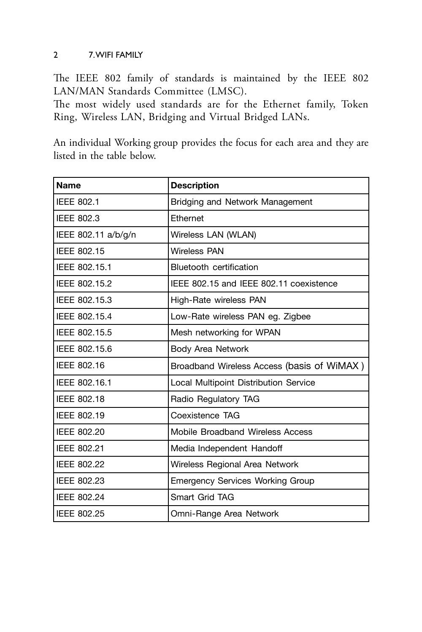## 2 7. WIFI FAMILY

The IEEE 802 family of standards is maintained by the IEEE 802 LAN/MAN Standards Committee (LMSC).

The most widely used standards are for the Ethernet family, Token Ring, Wireless LAN, Bridging and Virtual Bridged LANs.

An individual Working group provides the focus for each area and they are listed in the table below.

| <b>Name</b>         | <b>Description</b>                         |  |  |  |
|---------------------|--------------------------------------------|--|--|--|
| <b>IEEE 802.1</b>   | Bridging and Network Management            |  |  |  |
| <b>IEEE 802.3</b>   | Ethernet                                   |  |  |  |
| IEEE 802.11 a/b/g/n | Wireless LAN (WLAN)                        |  |  |  |
| IEEE 802.15         | <b>Wireless PAN</b>                        |  |  |  |
| IEEE 802.15.1       | Bluetooth certification                    |  |  |  |
| IEEE 802.15.2       | IEEE 802.15 and IEEE 802.11 coexistence    |  |  |  |
| IEEE 802.15.3       | High-Rate wireless PAN                     |  |  |  |
| IEEE 802.15.4       | Low-Rate wireless PAN eg. Zigbee           |  |  |  |
| IEEE 802.15.5       | Mesh networking for WPAN                   |  |  |  |
| IEEE 802.15.6       | Body Area Network                          |  |  |  |
| IEEE 802.16         | Broadband Wireless Access (basis of WiMAX) |  |  |  |
| IEEE 802.16.1       | Local Multipoint Distribution Service      |  |  |  |
| IEEE 802.18         | Radio Regulatory TAG                       |  |  |  |
| IEEE 802.19         | Coexistence TAG                            |  |  |  |
| IEEE 802.20         | Mobile Broadband Wireless Access           |  |  |  |
| IEEE 802.21         | Media Independent Handoff                  |  |  |  |
| IEEE 802.22         | Wireless Regional Area Network             |  |  |  |
| IEEE 802.23         | <b>Emergency Services Working Group</b>    |  |  |  |
| IEEE 802.24         | Smart Grid TAG                             |  |  |  |
| IEEE 802.25         | Omni-Range Area Network                    |  |  |  |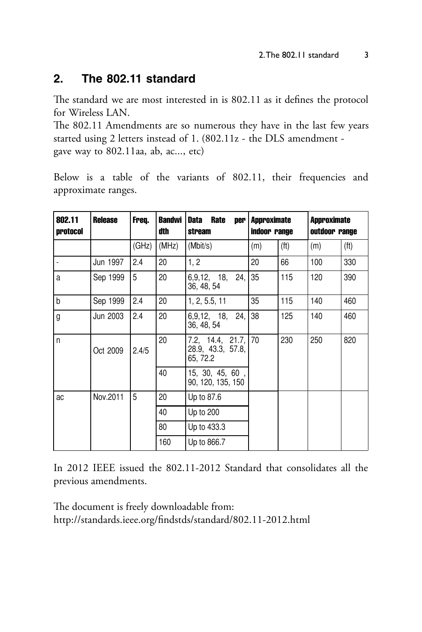#### The 802.11 standard  $\mathbf{p}$

The standard we are most interested in is 802.11 as it defines the protocol for Wireless LAN.

The 802.11 Amendments are so numerous they have in the last few years started using 2 letters instead of 1. (802.11z - the DLS amendment gave way to 802.11aa, ab, ac..., etc)

Below is a table of the variants of 802.11, their frequencies and approximate ranges.

| 802.11<br>protocol | <b>Release</b> | Freq. | <b>Bandwi</b><br>dth | <b>Data</b><br><b>Rate</b><br>per<br>stream          | <b>Approximate</b><br>indoor range |                   | <b>Approximate</b><br>outdoor range |                   |
|--------------------|----------------|-------|----------------------|------------------------------------------------------|------------------------------------|-------------------|-------------------------------------|-------------------|
|                    |                | (GHz) | (MHz)                | (Mbit/s)                                             | (m)                                | (f <sup>t</sup> ) | (m)                                 | (f <sup>t</sup> ) |
|                    | Jun 1997       | 2.4   | 20                   | 1, 2                                                 | 20                                 | 66                | 100                                 | 330               |
| a                  | Sep 1999       | 5     | 20                   | 6,9,12, 18, 24,<br>36, 48, 54                        | 35                                 | 115               | 120                                 | 390               |
| b                  | Sep 1999       | 2.4   | 20                   | 1, 2, 5.5, 11                                        | 35                                 | 115               | 140                                 | 460               |
| g                  | Jun 2003       | 2.4   | 20                   | 6,9,12, 18, 24,<br>36, 48, 54                        | 38                                 | 125               | 140                                 | 460               |
| n                  | Oct 2009       | 2.4/5 | 20                   | 7.2, 14.4, 21.7, 70<br>28.9, 43.3, 57.8,<br>65, 72.2 |                                    | 230               | 250                                 | 820               |
|                    |                |       | 40                   | 15, 30, 45, 60,<br>90, 120, 135, 150                 |                                    |                   |                                     |                   |
| ac                 | Nov.2011       | 5     | 20                   | Up to 87.6                                           |                                    |                   |                                     |                   |
|                    |                |       | 40                   | Up to 200                                            |                                    |                   |                                     |                   |
|                    |                |       | 80                   | Up to 433.3                                          |                                    |                   |                                     |                   |
|                    |                |       | 160                  | Up to 866.7                                          |                                    |                   |                                     |                   |

In 2012 IEEE issued the 802.11-2012 Standard that consolidates all the previous amendments.

The document is freely downloadable from: http://standards.ieee.org/findstds/standard/802.11-2012.html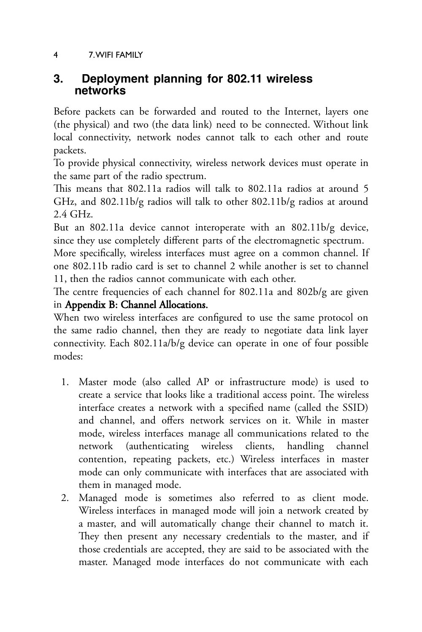## 4 7. WIFI FAMILY

# **3. Deployment planning for 802.11 wireless networks**

Before packets can be forwarded and routed to the Internet, layers one (the physical) and two (the data link) need to be connected. Without link local connectivity, network nodes cannot talk to each other and route packets.

To provide physical connectivity, wireless network devices must operate in the same part of the radio spectrum.

This means that 802.11a radios will talk to 802.11a radios at around 5 GHz, and 802.11b/g radios will talk to other 802.11b/g radios at around 2.4GHz.

But an 802.11a device cannot interoperate with an 802.11b/g device, since they use completely different parts of the electromagnetic spectrum.

More specifically, wireless interfaces must agree on a common channel. If one 802.11b radio card is set to channel 2 while another is set to channel 11, then the radios cannot communicate with each other.

The centre frequencies of each channel for 802.11a and 802b/g are given inAppendix B: Channel Allocations.

When two wireless interfaces are configured to use the same protocol on the same radio channel, then they are ready to negotiate data link layer connectivity. Each 802.11a/b/g device can operate in one of four possible modes:

- 1. Master mode (also called AP or infrastructure mode) is used to create a service that looks like a traditional access point. The wireless interface creates a network with a specified name (called the SSID) and channel, and offers network services on it. While in master mode, wireless interfaces manage all communications related to the network (authenticating wireless clients, handling channel contention, repeating packets, etc.) Wireless interfaces in master mode can only communicate with interfaces that are associated with them in managed mode.
- 2. Managed mode is sometimes also referred to as client mode. Wireless interfaces in managed mode will join a network created by a master, and will automatically change their channel to match it. They then present any necessary credentials to the master, and if those credentials are accepted, they are said to be associated with the master. Managed mode interfaces do not communicate with each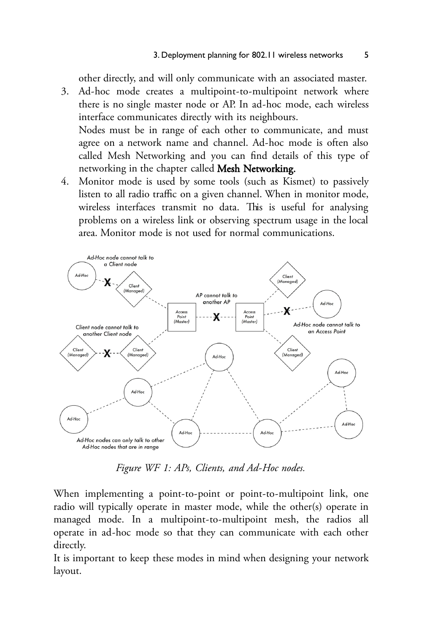other directly, and will only communicate with an associated master.

- 3. Ad-hoc mode creates a multipoint-to-multipoint network where there is no single master node or AP. In ad-hoc mode, each wireless interface communicates directly with its neighbours. Nodes must be in range of each other to communicate, and must agree on a network name and channel. Ad-hoc mode is often also called Mesh Networking and you can find details of this type of
	- networking in the chapter called Mesh Networking.
- 4. Monitor mode is used by some tools (such as Kismet) to passively listen to all radio traffic on a given channel. When in monitor mode, wireless interfaces transmit no data. This is useful for analysing problems on a wireless link or observing spectrum usage in the local area. Monitor mode is not used for normal communications.



Figure WF 1: APs, Clients, and Ad-Hoc nodes.

When implementing a point-to-point or point-to-multipoint link, one radio will typically operate in master mode, while the other(s) operate in managed mode. In a multipoint-to-multipoint mesh, the radios all operate in ad-hoc mode so that they can communicate with each other directly.

It is important to keep these modes in mind when designing your network layout.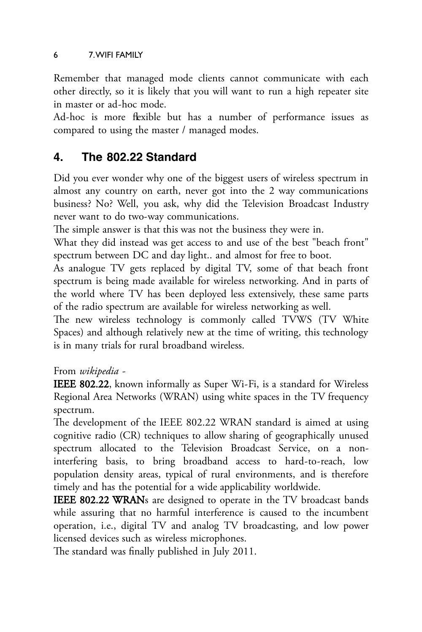### 6 7. WIFI FAMILY

Remember that managed mode clients cannot communicate with each other directly, so it is likely that you will want to run a high repeater site in master or ad-hoc mode.

Ad-hoc is more flexible but has a number of performance issues as compared to using the master / managed modes.

# **4. The 802.22 Standard**

Did you ever wonder why one of the biggest users of wireless spectrum in almost any country on earth, never got into the 2 way communications business? No? Well, you ask, why did the Television Broadcast Industry never want to do two-way communications.

The simple answer is that this was not the business they were in.

What they did instead was get access to and use of the best "beach front" spectrum between DC and day light.. and almost for free to boot.

As analogue TV gets replaced by digital TV, some of that beach front spectrum is being made available for wireless networking. And in parts of the world where TV has been deployed less extensively, these same parts of the radio spectrum are available for wireless networking as well.

The new wireless technology is commonly called TVWS (TV White Spaces) and although relatively new at the time of writing, this technology is in many trials for rural broadband wireless.

From*wikipedia*-

IEEE 802.22, known informally as Super Wi-Fi, is a standard for Wireless Regional Area Networks (WRAN) using white spaces in the TV frequency spectrum.

The development of the IEEE 802.22 WRAN standard is aimed at using cognitive radio (CR) techniques to allow sharing of geographically unused spectrum allocated to the Television Broadcast Service, on a noninterfering basis, to bring broadband access to hard-to-reach, low population density areas, typical of rural environments, and is therefore timely and has the potential for a wide applicability worldwide.

**IEEE 802.22 WRANs** are designed to operate in the TV broadcast bands while assuring that no harmful interference is caused to the incumbent operation, i.e., digital TV and analog TV broadcasting, and low power licensed devices such as wireless microphones.

The standard was finally published in July 2011.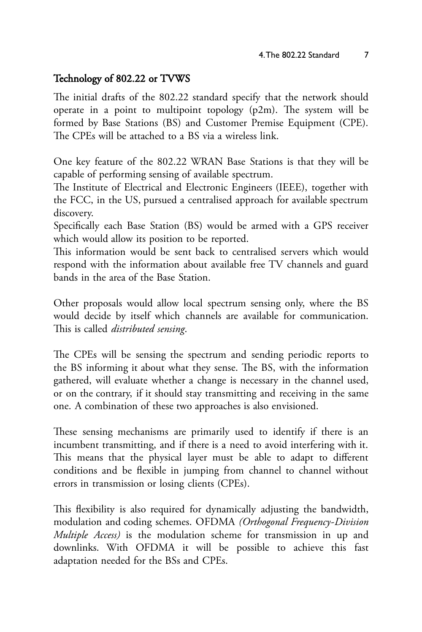## Technology of 802.22 or TVWS

The initial drafts of the 802.22 standard specify that the network should operate in a point to multipoint topology (p2m). The system will be formed by Base Stations (BS) and Customer Premise Equipment (CPE). The CPEs will be attached to a BS via a wireless link.

One key feature of the 802.22 WRAN Base Stations is that they will be capable of performing sensing of available spectrum.

The Institute of Electrical and Electronic Engineers (IEEE), together with the FCC, in the US, pursued a centralised approach for available spectrum discovery.

Specifically each Base Station (BS) would be armed with a GPS receiver which would allow its position to be reported.

This information would be sent back to centralised servers which would respond with the information about available free TV channels and guard bands in the area of the Base Station.

Other proposals would allow local spectrum sensing only, where the BS would decide by itself which channels are available for communication. This is called *distributed sensing*.

The CPEs will be sensing the spectrum and sending periodic reports to the BS informing it about what they sense. The BS, with the information gathered, will evaluate whether a change is necessary in the channel used, or on the contrary, if it should stay transmitting and receiving in the same one. A combination of these two approaches is also envisioned.

These sensing mechanisms are primarily used to identify if there is an incumbent transmitting, and if there is a need to avoid interfering with it. This means that the physical layer must be able to adapt to different conditions and be flexible in jumping from channel to channel without errors in transmission or losing clients (CPEs).

This flexibility is also required for dynamically adjusting the bandwidth, modulation and coding schemes. OFDMA (Orthogonal Frequency-Division *Multiple Access*) is the modulation scheme for transmission in up and downlinks. With OFDMA it will be possible to achieve this fast adaptation needed for the BSs and CPEs.